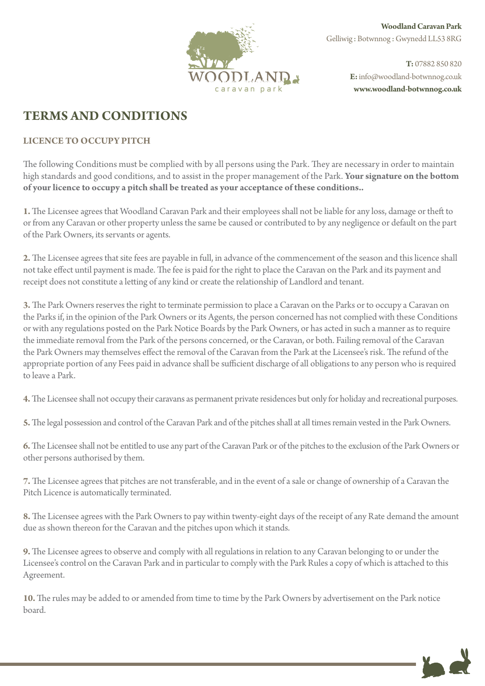

**Woodland Caravan Park** Gelliwig : Botwnnog : Gwynedd LL53 8RG

**T:** 07882 850 820 **E:**info@woodland-botwnnog.co.uk **c a r a v a n p a r k www.woodland-botwnnog.co.uk**

## **TERMS AND CONDITIONS**

## **LICENCE TO OCCUPY PITCH**

The following Conditions must be complied with by all persons using the Park. They are necessary in order to maintain high standards and good conditions, and to assist in the proper management of the Park. **Your signature on the bottom of your licence to occupy a pitch shall be treated as your acceptance of these conditions..**

**1.**The Licensee agrees that Woodland Caravan Park and their employees shall not be liable for any loss, damage or theft to or from any Caravan or other property unless the same be caused or contributed to by any negligence or default on the part of the Park Owners, its servants or agents.

**2.** The Licensee agrees that site fees are payable in full, in advance of the commencement of the season and this licence shall not take effect until payment is made. The fee is paid for the right to place the Caravan on the Park and its payment and receipt does not constitute a letting of any kind or create the relationship of Landlord and tenant.

**3.** The Park Owners reserves the right to terminate permission to place a Caravan on the Parks or to occupy a Caravan on the Parks if, in the opinion of the Park Owners or its Agents, the person concerned has not complied with these Conditions or with any regulations posted on the Park Notice Boards by the Park Owners, or has acted in such a manner as to require the immediate removal from the Park of the persons concerned, or the Caravan, or both. Failing removal of the Caravan the Park Owners may themselves effect the removal of the Caravan from the Park at the Licensee's risk. The refund of the appropriate portion of any Fees paid in advance shall be sufficient discharge of all obligations to any person who is required to leave a Park.

**4.** The Licensee shall not occupy their caravans as permanent private residences but only for holiday and recreational purposes.

**5.** The legal possession and control of the Caravan Park and of the pitches shall at all times remain vested in the Park Owners.

**6.** The Licensee shall not be entitled to use any part of the Caravan Park or of the pitches to the exclusion of the Park Owners or other persons authorised by them.

**7.** The Licensee agrees that pitches are not transferable, and in the event of a sale or change of ownership of a Caravan the Pitch Licence is automatically terminated.

**8.** The Licensee agrees with the Park Owners to pay within twenty-eight days of the receipt of any Rate demand the amount due as shown thereon for the Caravan and the pitches upon which it stands.

**9.** The Licensee agrees to observe and comply with all regulations in relation to any Caravan belonging to or under the Licensee's control on the Caravan Park and in particular to comply with the Park Rules a copy of which is attached to this Agreement.

**10.** The rules may be added to or amended from time to time by the Park Owners by advertisement on the Park notice board.